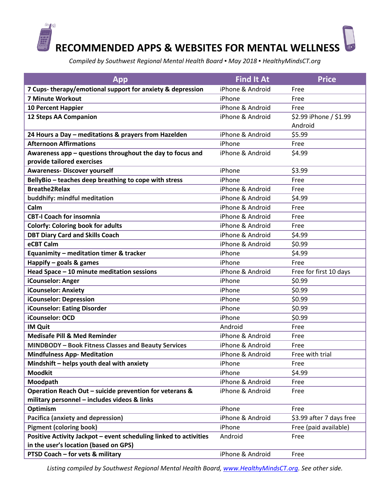

*Compiled by Southwest Regional Mental Health Board ▪ May 2018 ▪ HealthyMindsCT.org*

| App                                                               | <b>Find It At</b> | <b>Price</b>             |
|-------------------------------------------------------------------|-------------------|--------------------------|
| 7 Cups-therapy/emotional support for anxiety & depression         | iPhone & Android  | Free                     |
| 7 Minute Workout                                                  | iPhone            | Free                     |
| <b>10 Percent Happier</b>                                         | iPhone & Android  | Free                     |
| <b>12 Steps AA Companion</b>                                      | iPhone & Android  | \$2.99 iPhone / \$1.99   |
|                                                                   |                   | Android                  |
| 24 Hours a Day - meditations & prayers from Hazelden              | iPhone & Android  | \$5.99                   |
| <b>Afternoon Affirmations</b>                                     | iPhone            | Free                     |
| Awareness app - questions throughout the day to focus and         | iPhone & Android  | \$4.99                   |
| provide tailored exercises                                        |                   |                          |
| <b>Awareness- Discover yourself</b>                               | iPhone            | \$3.99                   |
| BellyBio - teaches deep breathing to cope with stress             | iPhone            | Free                     |
| <b>Breathe2Relax</b>                                              | iPhone & Android  | Free                     |
| buddhify: mindful meditation                                      | iPhone & Android  | \$4.99                   |
| Calm                                                              | iPhone & Android  | Free                     |
| <b>CBT-I Coach for insomnia</b>                                   | iPhone & Android  | Free                     |
| <b>Colorfy: Coloring book for adults</b>                          | iPhone & Android  | Free                     |
| <b>DBT Diary Card and Skills Coach</b>                            | iPhone & Android  | \$4.99                   |
| eCBT Calm                                                         | iPhone & Android  | \$0.99                   |
| Equanimity - meditation timer & tracker                           | iPhone            | \$4.99                   |
| Happify $-$ goals & games                                         | iPhone            | Free                     |
| Head Space - 10 minute meditation sessions                        | iPhone & Android  | Free for first 10 days   |
| iCounselor: Anger                                                 | iPhone            | \$0.99                   |
| iCounselor: Anxiety                                               | iPhone            | \$0.99                   |
| iCounselor: Depression                                            | iPhone            | \$0.99                   |
| iCounselor: Eating Disorder                                       | iPhone            | \$0.99                   |
| iCounselor: OCD                                                   | iPhone            | \$0.99                   |
| <b>IM Quit</b>                                                    | Android           | Free                     |
| <b>Medisafe Pill &amp; Med Reminder</b>                           | iPhone & Android  | Free                     |
| <b>MINDBODY - Book Fitness Classes and Beauty Services</b>        | iPhone & Android  | Free                     |
| <b>Mindfulness App- Meditation</b>                                | iPhone & Android  | Free with trial          |
| Mindshift - helps youth deal with anxiety                         | iPhone            | Free                     |
| <b>Moodkit</b>                                                    | iPhone            | \$4.99                   |
| Moodpath                                                          | iPhone & Android  | Free                     |
| Operation Reach Out - suicide prevention for veterans &           | iPhone & Android  | Free                     |
| military personnel - includes videos & links                      |                   |                          |
| Optimism                                                          | iPhone            | Free                     |
| <b>Pacifica (anxiety and depression)</b>                          | iPhone & Android  | \$3.99 after 7 days free |
| <b>Pigment (coloring book)</b>                                    | iPhone            | Free (paid available)    |
| Positive Activity Jackpot - event scheduling linked to activities | Android           | Free                     |
| in the user's location (based on GPS)                             |                   |                          |
| PTSD Coach - for vets & military                                  | iPhone & Android  | Free                     |

*Listing compiled by Southwest Regional Mental Health Board[, www.HealthyMindsCT.org.](http://www.healthymindsct.org/) See other side.*